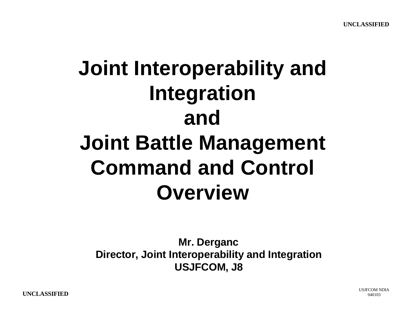## **Joint Interoperability and Integration and Joint Battle Management Command and Control Overview**

**Mr. Derganc Director, Joint Interoperability and Integration USJFCOM, J8**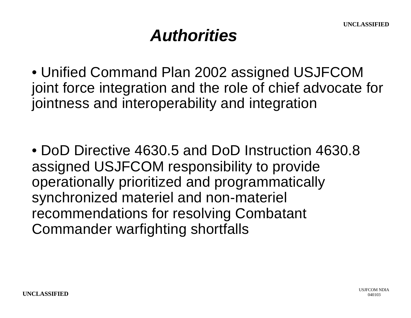#### *Authorities*

• Unified Command Plan 2002 assigned USJFCOM joint force integration and the role of chief advocate for jointness and interoperability and integration

• DoD Directive 4630.5 and DoD Instruction 4630.8 assigned USJFCOM responsibility to provide operationally prioritized and programmatically synchronized materiel and non-materiel recommendations for resolving Combatant Commander warfighting shortfalls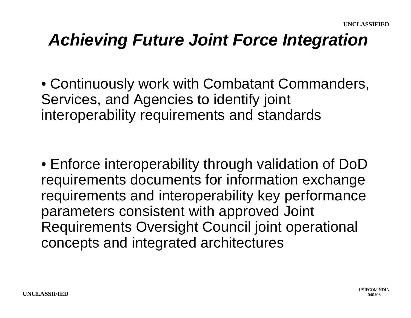#### *Achieving Future Joint Force Integration*

• Continuously work with Combatant Commanders, Services, and Agencies to identify joint interoperability requirements and standards

• Enforce interoperability through validation of DoD requirements documents for information exchange requirements and interoperability key performance parameters consistent with approved Joint Requirements Oversight Council joint operational concepts and integrated architectures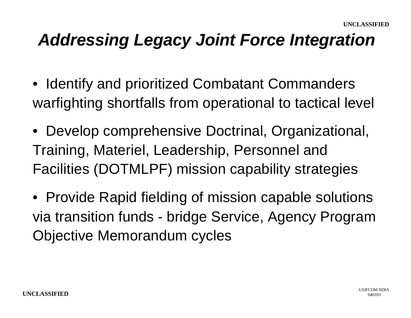#### *Addressing Legacy Joint Force Integration*

- •Identify and prioritized Combatant Commanders warfighting shortfalls from operational to tactical level
- Develop comprehensive Doctrinal, Organizational, Training, Materiel, Leadership, Personnel and Facilities (DOTMLPF) mission capability strategies
- Provide Rapid fielding of mission capable solutions via transition funds - bridge Service, Agency Program Objective Memorandum cycles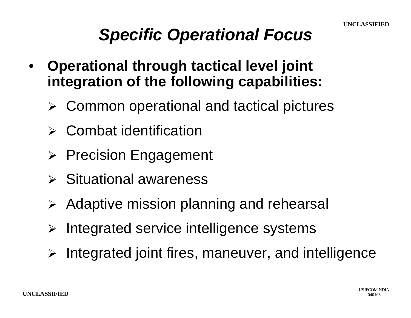#### *Specific Operational Focus*

- **Operational through tactical level joint integration of the following capabilities:**
	- $\triangleright$  Common operational and tactical pictures
	- **Combat identification**
	- $\triangleright$  Precision Engagement
	- $\triangleright$  Situational awareness
	- $\triangleright$  Adaptive mission planning and rehearsal
	- Integrated service intelligence systems
	- $\triangleright$  Integrated joint fires, maneuver, and intelligence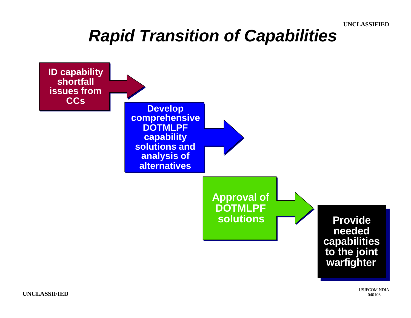#### **UNCLASSIFIED**

#### *Rapid Transition of Capabilities*



USJFCOM NDIA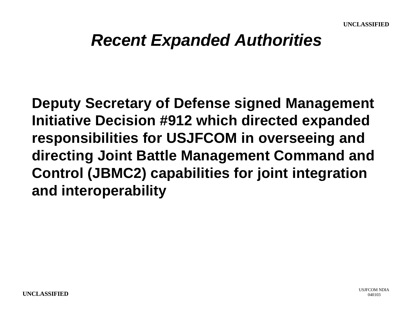#### *Recent Expanded Authorities*

**Deputy Secretary of Defense signed Management Initiative Decision #912 which directed expanded responsibilities for USJFCOM in overseeing and directing Joint Battle Management Command and Control (JBMC2) capabilities for joint integration and interoperability**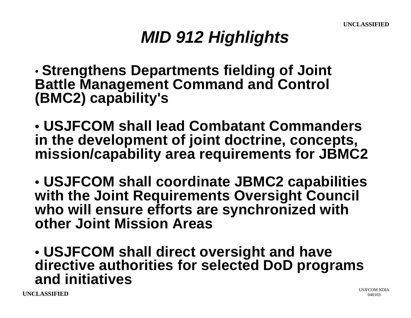### *MID 912 Highlights*

• **Strengthens Departments fielding of Joint Battle Management Command and Control (BMC2) capability's**

• **USJFCOM shall lead Combatant Commanders in the development of joint doctrine, concepts, mission/capability area requirements for JBMC2**

• **USJFCOM shall coordinate JBMC2 capabilities with the Joint Requirements Oversight Council who will ensure efforts are synchronized with other Joint Mission Areas**

• **USJFCOM shall direct oversight and have directive authorities for selected DoD programs and initiatives**

**UNCLASSIFIED** <sup>040103</sup>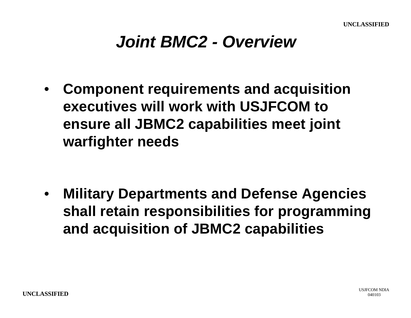#### *Joint BMC2 - Overview*

• **Component requirements and acquisition executives will work with USJFCOM to ensure all JBMC2 capabilities meet joint warfighter needs**

• **Military Departments and Defense Agencies shall retain responsibilities for programming and acquisition of JBMC2 capabilities**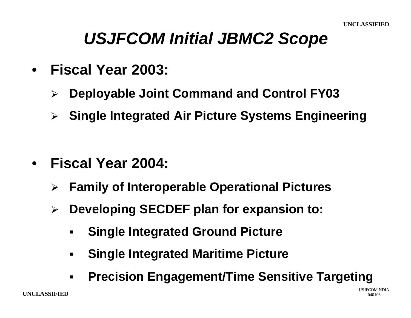#### *USJFCOM Initial JBMC2 Scope*

- **Fiscal Year 2003:**
	- ÿ **Deployable Joint Command and Control FY03**
	- ÿ **Single Integrated Air Picture Systems Engineering**

- **Fiscal Year 2004:**
	- ÿ **Family of Interoperable Operational Pictures**
	- ÿ **Developing SECDEF plan for expansion to:**
		- ß **Single Integrated Ground Picture**
		- ß **Single Integrated Maritime Picture**
		- ß **Precision Engagement/Time Sensitive Targeting**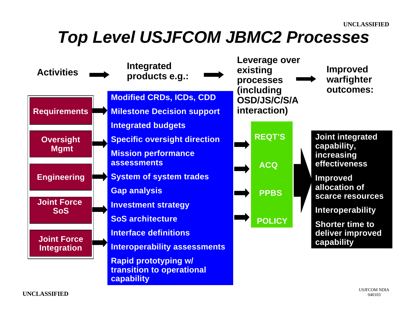#### *Top Level USJFCOM JBMC2 Processes*

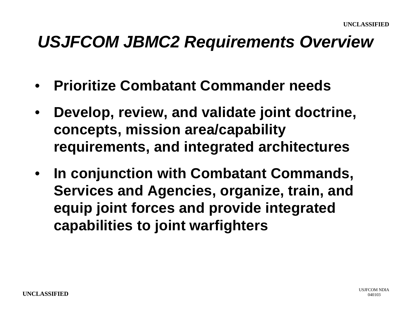#### *USJFCOM JBMC2 Requirements Overview*

- **Prioritize Combatant Commander needs**
- **Develop, review, and validate joint doctrine, concepts, mission area/capability requirements, and integrated architectures**
- **In conjunction with Combatant Commands, Services and Agencies, organize, train, and equip joint forces and provide integrated capabilities to joint warfighters**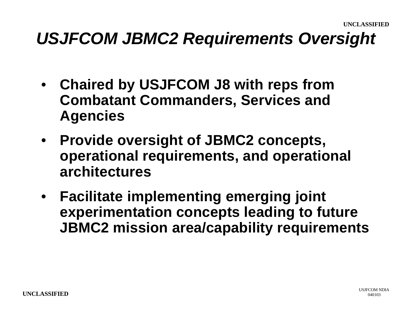#### *USJFCOM JBMC2 Requirements Oversight*

- **Chaired by USJFCOM J8 with reps from Combatant Commanders, Services and Agencies**
- **Provide oversight of JBMC2 concepts, operational requirements, and operational architectures**
- **Facilitate implementing emerging joint experimentation concepts leading to future JBMC2 mission area/capability requirements**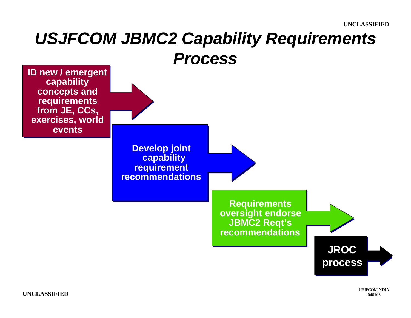# *USJFCOM JBMC2 Capability Requirements*



**UNCLASSIFIED** <sup>040103</sup>

USJFCOM NDIA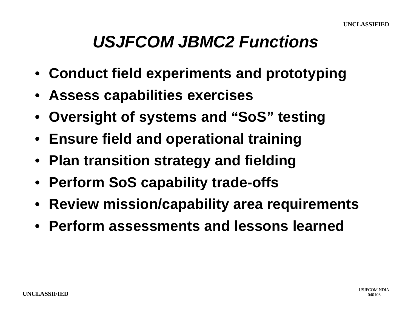#### *USJFCOM JBMC2 Functions*

- **Conduct field experiments and prototyping**
- **Assess capabilities exercises**
- **Oversight of systems and "SoS" testing**
- **Ensure field and operational training**
- **Plan transition strategy and fielding**
- **Perform SoS capability trade-offs**
- **Review mission/capability area requirements**
- **Perform assessments and lessons learned**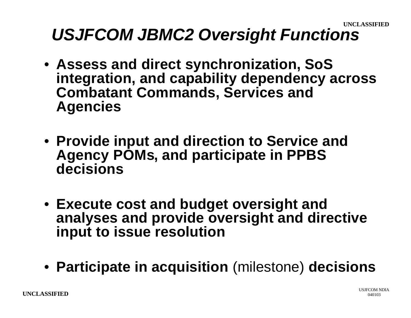### *USJFCOM JBMC2 Oversight Functions*

- **Assess and direct synchronization, SoS integration, and capability dependency across Combatant Commands, Services and Agencies**
- **Provide input and direction to Service and Agency POMs, and participate in PPBS decisions**
- **Execute cost and budget oversight and analyses and provide oversight and directive input to issue resolution**
- **Participate in acquisition** (milestone) **decisions**